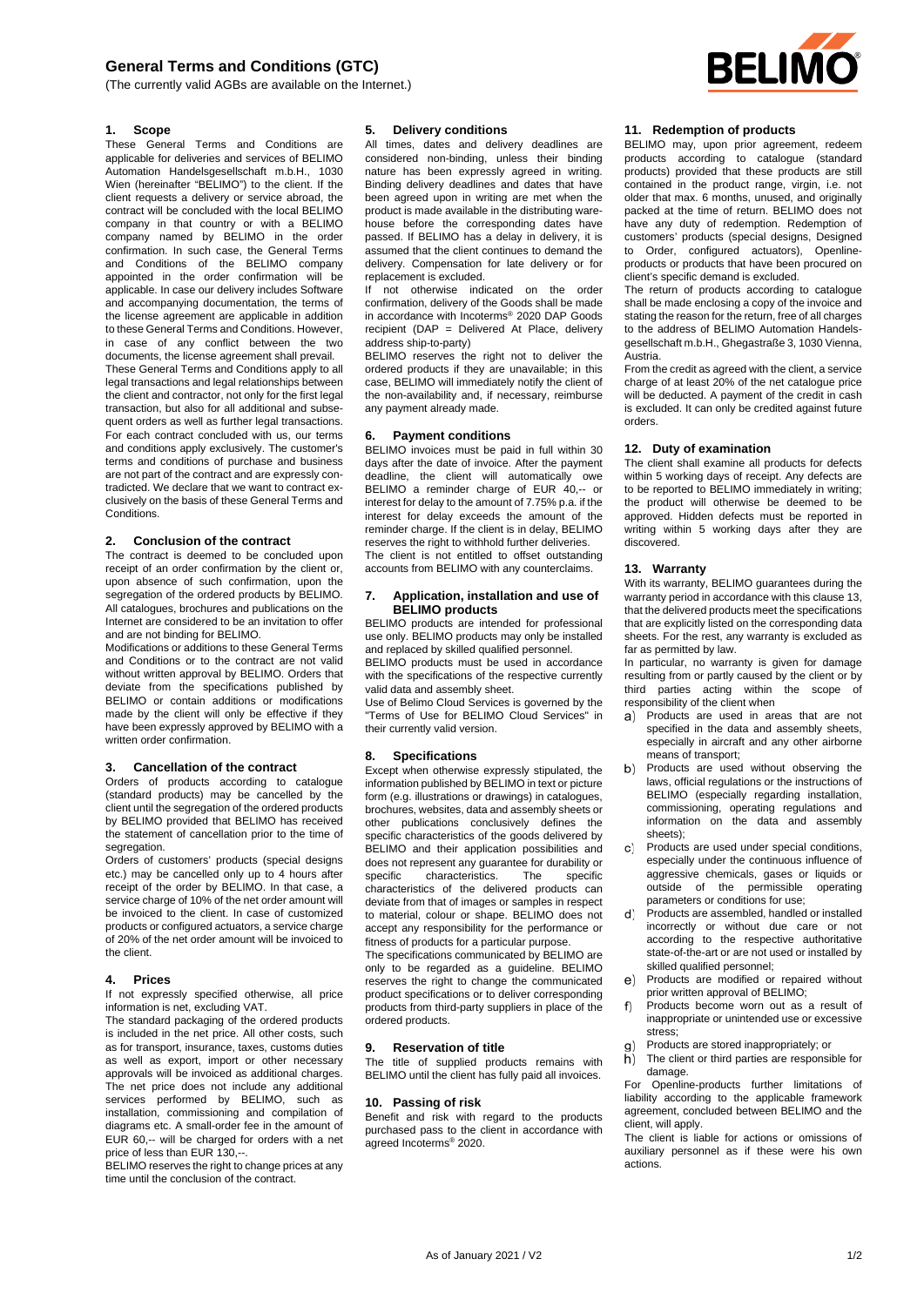# **General Terms and Conditions (GTC)**

(The currently valid AGBs are available on the Internet.)



# **1. Scope**

These General Terms and Conditions are applicable for deliveries and services of BELIMO Automation Handelsgesellschaft m.b.H., 1030 Wien (hereinafter "BELIMO") to the client. If the client requests a delivery or service abroad, the contract will be concluded with the local BELIMO company in that country or with a BELIMO company named by BELIMO in the order confirmation. In such case, the General Terms and Conditions of the BELIMO company appointed in the order confirmation will be applicable. In case our delivery includes Software and accompanying documentation, the terms of the license agreement are applicable in addition to these General Terms and Conditions. However, in case of any conflict between the two documents, the license agreement shall prevail.

These General Terms and Conditions apply to all legal transactions and legal relationships between the client and contractor, not only for the first legal transaction, but also for all additional and subsequent orders as well as further legal transactions. For each contract concluded with us, our terms and conditions apply exclusively. The customer's terms and conditions of purchase and business are not part of the contract and are expressly contradicted. We declare that we want to contract exclusively on the basis of these General Terms and **Conditions** 

# **2. Conclusion of the contract**

The contract is deemed to be concluded upon receipt of an order confirmation by the client or, upon absence of such confirmation, upon the segregation of the ordered products by BELIMO. All catalogues, brochures and publications on the Internet are considered to be an invitation to offer and are not binding for BELIMO.

Modifications or additions to these General Terms and Conditions or to the contract are not valid without written approval by BELIMO. Orders that deviate from the specifications published by BELIMO or contain additions or modifications made by the client will only be effective if they have been expressly approved by BELIMO with a written order confirmation.

#### **3. Cancellation of the contract**

Orders of products according to catalogue (standard products) may be cancelled by the client until the segregation of the ordered products by BELIMO provided that BELIMO has received the statement of cancellation prior to the time of segregation.

Orders of customers' products (special designs etc.) may be cancelled only up to 4 hours after receipt of the order by BELIMO. In that case, a service charge of 10% of the net order amount will be invoiced to the client. In case of customized products or configured actuators, a service charge of 20% of the net order amount will be invoiced to the client.

#### **4. Prices**

If not expressly specified otherwise, all price information is net, excluding VAT.

The standard packaging of the ordered products is included in the net price. All other costs, such as for transport, insurance, taxes, customs duties as well as export, import or other necessary approvals will be invoiced as additional charges. The net price does not include any additional services performed by BELIMO, such as installation, commissioning and compilation of diagrams etc. A small-order fee in the amount of EUR 60,-- will be charged for orders with a net price of less than EUR 130,--.

BELIMO reserves the right to change prices at any time until the conclusion of the contract.

# **5. Delivery conditions**

All times, dates and delivery deadlines are considered non-binding, unless their binding nature has been expressly agreed in writing. Binding delivery deadlines and dates that have been agreed upon in writing are met when the product is made available in the distributing warehouse before the corresponding dates have passed. If BELIMO has a delay in delivery, it is assumed that the client continues to demand the delivery. Compensation for late delivery or for replacement is excluded.

If not otherwise indicated on the order confirmation, delivery of the Goods shall be made in accordance with Incoterms® 2020 DAP Goods recipient (DAP = Delivered At Place, delivery address ship-to-party)

BELIMO reserves the right not to deliver the ordered products if they are unavailable; in this case, BELIMO will immediately notify the client of the non-availability and, if necessary, reimburse any payment already made.

#### **6. Payment conditions**

BELIMO invoices must be paid in full within 30 days after the date of invoice. After the payment deadline, the client will automatically owe BELIMO a reminder charge of EUR 40 -- or interest for delay to the amount of 7.75% p.a. if the interest for delay exceeds the amount of the reminder charge. If the client is in delay, BELIMO reserves the right to withhold further deliveries. The client is not entitled to offset outstanding accounts from BELIMO with any counterclaims.

#### **7. Application, installation and use of BELIMO products**

BELIMO products are intended for professional use only. BELIMO products may only be installed and replaced by skilled qualified personnel.

BELIMO products must be used in accordance with the specifications of the respective currently valid data and assembly sheet.

Use of Belimo Cloud Services is governed by the "Terms of Use for BELIMO Cloud Services" in their currently valid version.

#### **8. Specifications**

Except when otherwise expressly stipulated, the information published by BELIMO in text or picture form (e.g. illustrations or drawings) in catalogues, brochures, websites, data and assembly sheets or other publications conclusively defines the specific characteristics of the goods delivered by BELIMO and their application possibilities and does not represent any guarantee for durability or<br>specific characteristics The specific characteristics. characteristics of the delivered products can deviate from that of images or samples in respect to material, colour or shape. BELIMO does not accept any responsibility for the performance or fitness of products for a particular purpose.

The specifications communicated by BELIMO are only to be regarded as a guideline. BELIMO reserves the right to change the communicated product specifications or to deliver corresponding products from third-party suppliers in place of the ordered products.

### **9. Reservation of title**

The title of supplied products remains with BELIMO until the client has fully paid all invoices.

#### **10. Passing of risk**

Benefit and risk with regard to the products purchased pass to the client in accordance with agreed Incoterms® 2020.

### **11. Redemption of products**

BELIMO may, upon prior agreement, redeem products according to catalogue (standard products) provided that these products are still contained in the product range, virgin, i.e. not older that max. 6 months, unused, and originally packed at the time of return. BELIMO does not have any duty of redemption. Redemption of customers' products (special designs, Designed to Order, configured actuators), Openlineproducts or products that have been procured on client's specific demand is excluded.

The return of products according to catalogue shall be made enclosing a copy of the invoice and stating the reason for the return, free of all charges to the address of BELIMO Automation Handelsgesellschaft m.b.H., Ghegastraße 3, 1030 Vienna, Austria.

From the credit as agreed with the client, a service charge of at least 20% of the net catalogue price will be deducted. A payment of the credit in cash is excluded. It can only be credited against future orders.

# **12. Duty of examination**

The client shall examine all products for defects within 5 working days of receipt. Any defects are to be reported to BELIMO immediately in writing: the product will otherwise be deemed to be approved. Hidden defects must be reported in writing within 5 working days after they are discovered.

#### **13. Warranty**

With its warranty, BELIMO guarantees during the warranty period in accordance with this clause 13, that the delivered products meet the specifications that are explicitly listed on the corresponding data sheets. For the rest, any warranty is excluded as far as permitted by law.

In particular, no warranty is given for damage resulting from or partly caused by the client or by third parties acting within the scope of responsibility of the client when

- a) Products are used in areas that are not specified in the data and assembly sheets especially in aircraft and any other airborne means of transport;
- Products are used without observing the b) laws, official regulations or the instructions of BELIMO (especially regarding installation, commissioning, operating regulations and information on the data and assembly sheets);
- $\mathbf{C}$ Products are used under special conditions, especially under the continuous influence of aggressive chemicals, gases or liquids or outside of the permissible operating parameters or conditions for use;
- $(d)$ Products are assembled, handled or installed incorrectly or without due care or not according to the respective authoritative state-of-the-art or are not used or installed by skilled qualified personnel;
- $\epsilon$ Products are modified or repaired without prior written approval of BELIMO;
- f) Products become worn out as a result of inappropriate or unintended use or excessive stress;
- Products are stored inappropriately; or
- The client or third parties are responsible for h) damage.

For Openline-products further limitations of liability according to the applicable framework agreement, concluded between BELIMO and the client, will apply.

The client is liable for actions or omissions of auxiliary personnel as if these were his own actions.